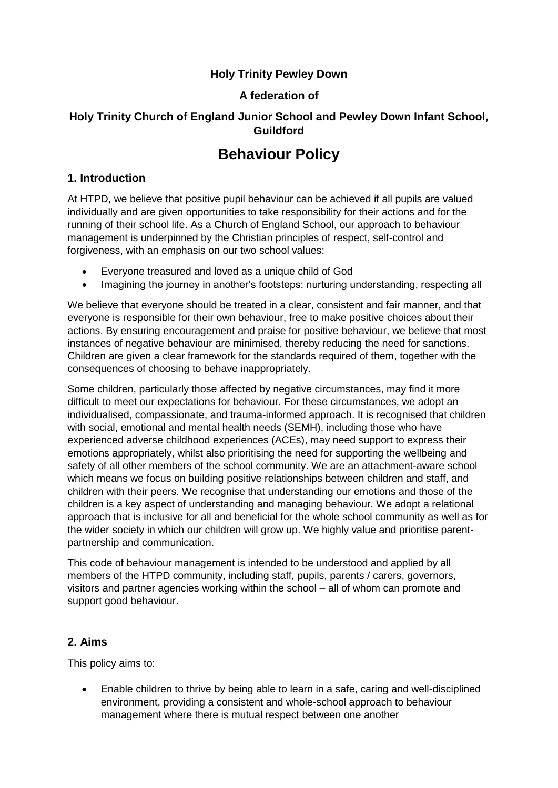# **Holy Trinity Pewley Down**

# **A federation of**

# **Holy Trinity Church of England Junior School and Pewley Down Infant School, Guildford**

# **Behaviour Policy**

### **1. Introduction**

At HTPD, we believe that positive pupil behaviour can be achieved if all pupils are valued individually and are given opportunities to take responsibility for their actions and for the running of their school life. As a Church of England School, our approach to behaviour management is underpinned by the Christian principles of respect, self-control and forgiveness, with an emphasis on our two school values:

- Everyone treasured and loved as a unique child of God
- Imagining the journey in another's footsteps: nurturing understanding, respecting all

We believe that everyone should be treated in a clear, consistent and fair manner, and that everyone is responsible for their own behaviour, free to make positive choices about their actions. By ensuring encouragement and praise for positive behaviour, we believe that most instances of negative behaviour are minimised, thereby reducing the need for sanctions. Children are given a clear framework for the standards required of them, together with the consequences of choosing to behave inappropriately.

Some children, particularly those affected by negative circumstances, may find it more difficult to meet our expectations for behaviour. For these circumstances, we adopt an individualised, compassionate, and trauma-informed approach. It is recognised that children with social, emotional and mental health needs (SEMH), including those who have experienced adverse childhood experiences (ACEs), may need support to express their emotions appropriately, whilst also prioritising the need for supporting the wellbeing and safety of all other members of the school community. We are an attachment-aware school which means we focus on building positive relationships between children and staff, and children with their peers. We recognise that understanding our emotions and those of the children is a key aspect of understanding and managing behaviour. We adopt a relational approach that is inclusive for all and beneficial for the whole school community as well as for the wider society in which our children will grow up. We highly value and prioritise parentpartnership and communication.

This code of behaviour management is intended to be understood and applied by all members of the HTPD community, including staff, pupils, parents / carers, governors, visitors and partner agencies working within the school – all of whom can promote and support good behaviour.

### **2. Aims**

This policy aims to:

 Enable children to thrive by being able to learn in a safe, caring and well-disciplined environment, providing a consistent and whole-school approach to behaviour management where there is mutual respect between one another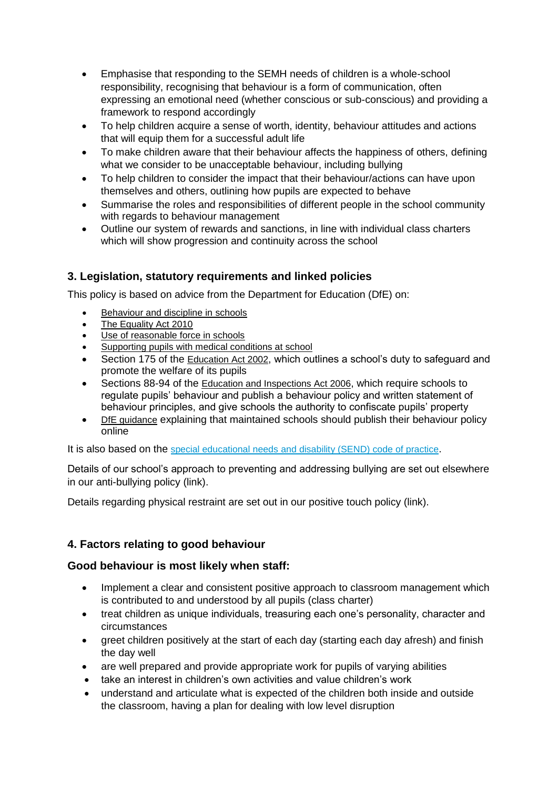- Emphasise that responding to the SEMH needs of children is a whole-school responsibility, recognising that behaviour is a form of communication, often expressing an emotional need (whether conscious or sub-conscious) and providing a framework to respond accordingly
- To help children acquire a sense of worth, identity, behaviour attitudes and actions that will equip them for a successful adult life
- To make children aware that their behaviour affects the happiness of others, defining what we consider to be unacceptable behaviour, including bullying
- To help children to consider the impact that their behaviour/actions can have upon themselves and others, outlining how pupils are expected to behave
- Summarise the roles and responsibilities of different people in the school community with regards to behaviour management
- Outline our system of rewards and sanctions, in line with individual class charters which will show progression and continuity across the school

# **3. Legislation, statutory requirements and linked policies**

This policy is based on advice from the Department for Education (DfE) on:

- [Behaviour and discipline in schools](https://www.gov.uk/government/publications/behaviour-and-discipline-in-schools)
- [The Equality Act 2010](https://www.gov.uk/government/publications/equality-act-2010-advice-for-schools)
- [Use of reasonable force in schools](https://www.gov.uk/government/publications/use-of-reasonable-force-in-schools)
- [Supporting pupils with medical conditions at school](https://www.gov.uk/government/publications/supporting-pupils-at-school-with-medical-conditions--3)
- Section 175 of the [Education Act 2002](http://www.legislation.gov.uk/ukpga/2002/32/section/175), which outlines a school's duty to safeguard and promote the welfare of its pupils
- Sections 88-94 of the [Education and Inspections Act 2006](http://www.legislation.gov.uk/ukpga/2006/40/section/88), which require schools to regulate pupils' behaviour and publish a behaviour policy and written statement of behaviour principles, and give schools the authority to confiscate pupils' property
- [DfE guidance](https://www.gov.uk/guidance/what-maintained-schools-must-publish-online#behaviour-policy) explaining that maintained schools should publish their behaviour policy online

It is also based on the [special educational needs and disability \(SEND\) code of practice](https://www.gov.uk/government/publications/send-code-of-practice-0-to-25).

Details of our school's approach to preventing and addressing bullying are set out elsewhere in our anti-bullying policy (link).

Details regarding physical restraint are set out in our positive touch policy (link).

# **4. Factors relating to good behaviour**

### **Good behaviour is most likely when staff:**

- Implement a clear and consistent positive approach to classroom management which is contributed to and understood by all pupils (class charter)
- treat children as unique individuals, treasuring each one's personality, character and circumstances
- greet children positively at the start of each day (starting each day afresh) and finish the day well
- are well prepared and provide appropriate work for pupils of varying abilities
- take an interest in children's own activities and value children's work
- understand and articulate what is expected of the children both inside and outside the classroom, having a plan for dealing with low level disruption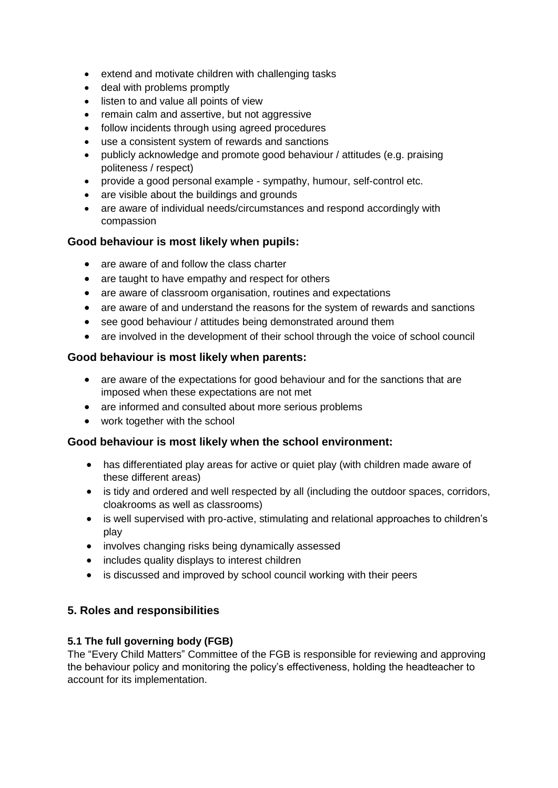- extend and motivate children with challenging tasks
- deal with problems promptly
- listen to and value all points of view
- remain calm and assertive, but not aggressive
- follow incidents through using agreed procedures
- use a consistent system of rewards and sanctions
- publicly acknowledge and promote good behaviour / attitudes (e.g. praising politeness / respect)
- provide a good personal example sympathy, humour, self-control etc.
- are visible about the buildings and grounds
- are aware of individual needs/circumstances and respond accordingly with compassion

### **Good behaviour is most likely when pupils:**

- are aware of and follow the class charter
- are taught to have empathy and respect for others
- are aware of classroom organisation, routines and expectations
- are aware of and understand the reasons for the system of rewards and sanctions
- see good behaviour / attitudes being demonstrated around them
- are involved in the development of their school through the voice of school council

### **Good behaviour is most likely when parents:**

- are aware of the expectations for good behaviour and for the sanctions that are imposed when these expectations are not met
- are informed and consulted about more serious problems
- work together with the school

### **Good behaviour is most likely when the school environment:**

- has differentiated play areas for active or quiet play (with children made aware of these different areas)
- is tidy and ordered and well respected by all (including the outdoor spaces, corridors, cloakrooms as well as classrooms)
- is well supervised with pro-active, stimulating and relational approaches to children's play
- involves changing risks being dynamically assessed
- includes quality displays to interest children
- is discussed and improved by school council working with their peers

### **5. Roles and responsibilities**

#### **5.1 The full governing body (FGB)**

The "Every Child Matters" Committee of the FGB is responsible for reviewing and approving the behaviour policy and monitoring the policy's effectiveness, holding the headteacher to account for its implementation.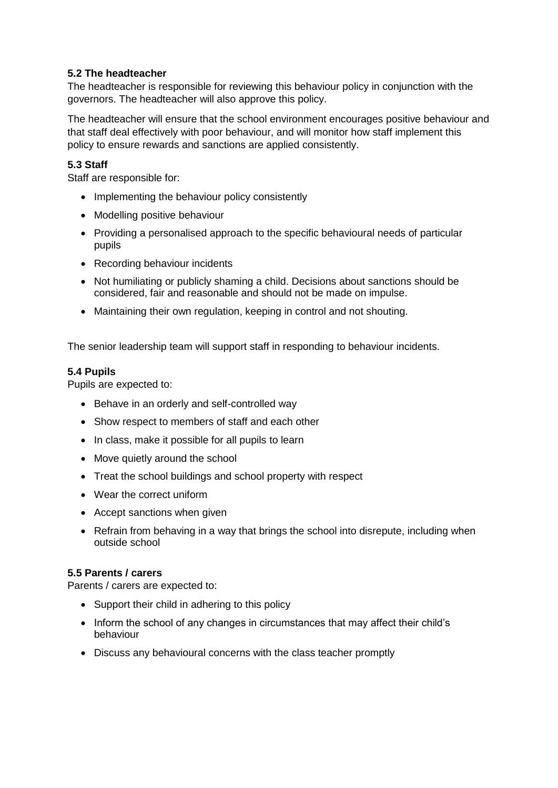#### **5.2 The headteacher**

The headteacher is responsible for reviewing this behaviour policy in conjunction with the governors. The headteacher will also approve this policy.

The headteacher will ensure that the school environment encourages positive behaviour and that staff deal effectively with poor behaviour, and will monitor how staff implement this policy to ensure rewards and sanctions are applied consistently.

#### **5.3 Staff**

Staff are responsible for:

- Implementing the behaviour policy consistently
- Modelling positive behaviour
- Providing a personalised approach to the specific behavioural needs of particular pupils
- Recording behaviour incidents
- Not humiliating or publicly shaming a child. Decisions about sanctions should be considered, fair and reasonable and should not be made on impulse.
- Maintaining their own regulation, keeping in control and not shouting.

The senior leadership team will support staff in responding to behaviour incidents.

#### **5.4 Pupils**

Pupils are expected to:

- Behave in an orderly and self-controlled way
- Show respect to members of staff and each other
- In class, make it possible for all pupils to learn
- Move quietly around the school
- Treat the school buildings and school property with respect
- Wear the correct uniform
- Accept sanctions when given
- Refrain from behaving in a way that brings the school into disrepute, including when outside school

#### **5.5 Parents / carers**

Parents / carers are expected to:

- Support their child in adhering to this policy
- Inform the school of any changes in circumstances that may affect their child's behaviour
- Discuss any behavioural concerns with the class teacher promptly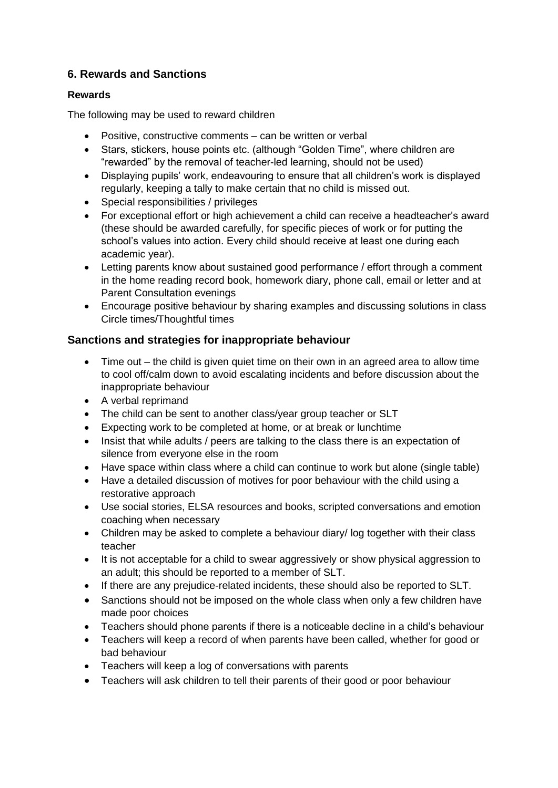# **6. Rewards and Sanctions**

### **Rewards**

The following may be used to reward children

- Positive, constructive comments can be written or verbal
- Stars, stickers, house points etc. (although "Golden Time", where children are "rewarded" by the removal of teacher-led learning, should not be used)
- Displaying pupils' work, endeavouring to ensure that all children's work is displayed regularly, keeping a tally to make certain that no child is missed out.
- Special responsibilities / privileges
- For exceptional effort or high achievement a child can receive a headteacher's award (these should be awarded carefully, for specific pieces of work or for putting the school's values into action. Every child should receive at least one during each academic year).
- Letting parents know about sustained good performance / effort through a comment in the home reading record book, homework diary, phone call, email or letter and at Parent Consultation evenings
- Encourage positive behaviour by sharing examples and discussing solutions in class Circle times/Thoughtful times

# **Sanctions and strategies for inappropriate behaviour**

- Time out the child is given quiet time on their own in an agreed area to allow time to cool off/calm down to avoid escalating incidents and before discussion about the inappropriate behaviour
- A verbal reprimand
- The child can be sent to another class/year group teacher or SLT
- Expecting work to be completed at home, or at break or lunchtime
- Insist that while adults / peers are talking to the class there is an expectation of silence from everyone else in the room
- Have space within class where a child can continue to work but alone (single table)
- Have a detailed discussion of motives for poor behaviour with the child using a restorative approach
- Use social stories, ELSA resources and books, scripted conversations and emotion coaching when necessary
- Children may be asked to complete a behaviour diary/ log together with their class teacher
- It is not acceptable for a child to swear aggressively or show physical aggression to an adult; this should be reported to a member of SLT.
- If there are any prejudice-related incidents, these should also be reported to SLT.
- Sanctions should not be imposed on the whole class when only a few children have made poor choices
- Teachers should phone parents if there is a noticeable decline in a child's behaviour
- Teachers will keep a record of when parents have been called, whether for good or bad behaviour
- Teachers will keep a log of conversations with parents
- Teachers will ask children to tell their parents of their good or poor behaviour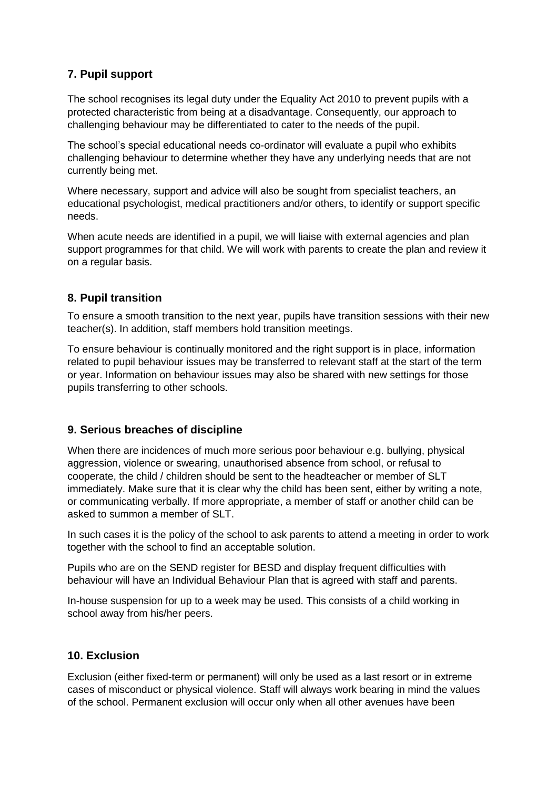# **7. Pupil support**

The school recognises its legal duty under the Equality Act 2010 to prevent pupils with a protected characteristic from being at a disadvantage. Consequently, our approach to challenging behaviour may be differentiated to cater to the needs of the pupil.

The school's special educational needs co-ordinator will evaluate a pupil who exhibits challenging behaviour to determine whether they have any underlying needs that are not currently being met.

Where necessary, support and advice will also be sought from specialist teachers, an educational psychologist, medical practitioners and/or others, to identify or support specific needs.

When acute needs are identified in a pupil, we will liaise with external agencies and plan support programmes for that child. We will work with parents to create the plan and review it on a regular basis.

# **8. Pupil transition**

To ensure a smooth transition to the next year, pupils have transition sessions with their new teacher(s). In addition, staff members hold transition meetings.

To ensure behaviour is continually monitored and the right support is in place, information related to pupil behaviour issues may be transferred to relevant staff at the start of the term or year. Information on behaviour issues may also be shared with new settings for those pupils transferring to other schools.

# **9. Serious breaches of discipline**

When there are incidences of much more serious poor behaviour e.g. bullying, physical aggression, violence or swearing, unauthorised absence from school, or refusal to cooperate, the child / children should be sent to the headteacher or member of SLT immediately. Make sure that it is clear why the child has been sent, either by writing a note, or communicating verbally. If more appropriate, a member of staff or another child can be asked to summon a member of SLT.

In such cases it is the policy of the school to ask parents to attend a meeting in order to work together with the school to find an acceptable solution.

Pupils who are on the SEND register for BESD and display frequent difficulties with behaviour will have an Individual Behaviour Plan that is agreed with staff and parents.

In-house suspension for up to a week may be used. This consists of a child working in school away from his/her peers.

### **10. Exclusion**

Exclusion (either fixed-term or permanent) will only be used as a last resort or in extreme cases of misconduct or physical violence. Staff will always work bearing in mind the values of the school. Permanent exclusion will occur only when all other avenues have been